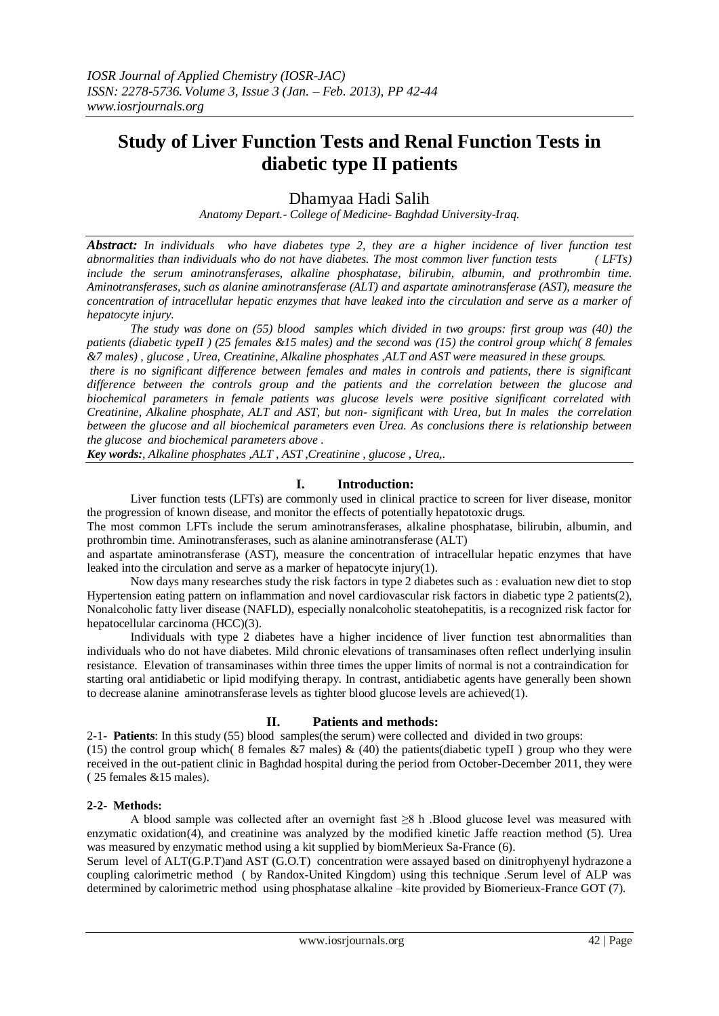# **Study of Liver Function Tests and Renal Function Tests in diabetic type II patients**

Dhamyaa Hadi Salih

*Anatomy Depart.- College of Medicine- Baghdad University-Iraq.*

*Abstract: In individuals who have diabetes type 2, they are a higher incidence of liver function test abnormalities than individuals who do not have diabetes. The most common liver function tests ( LFTs) include the serum aminotransferases, alkaline phosphatase, bilirubin, albumin, and prothrombin time. Aminotransferases, such as alanine aminotransferase (ALT) and aspartate aminotransferase (AST), measure the concentration of intracellular hepatic enzymes that have leaked into the circulation and serve as a marker of hepatocyte injury.*

*The study was done on (55) blood samples which divided in two groups: first group was (40) the patients (diabetic typeII ) (25 females &15 males) and the second was (15) the control group which( 8 females &7 males) , glucose , Urea, Creatinine, Alkaline phosphates ,ALT and AST were measured in these groups.*

*there is no significant difference between females and males in controls and patients, there is significant difference between the controls group and the patients and the correlation between the glucose and biochemical parameters in female patients was glucose levels were positive significant correlated with Creatinine, Alkaline phosphate, ALT and AST, but non- significant with Urea, but In males the correlation between the glucose and all biochemical parameters even Urea. As conclusions there is relationship between the glucose and biochemical parameters above .*

*Key words:, Alkaline phosphates ,ALT , AST ,Creatinine , glucose , Urea,.*

## **I. Introduction:**

 Liver function tests (LFTs) are commonly used in clinical practice to screen for liver disease, monitor the progression of known disease, and monitor the effects of potentially hepatotoxic drugs.

The most common LFTs include the serum aminotransferases, alkaline phosphatase, bilirubin, albumin, and prothrombin time. Aminotransferases, such as alanine aminotransferase (ALT)

and aspartate aminotransferase (AST), measure the concentration of intracellular hepatic enzymes that have leaked into the circulation and serve as a marker of hepatocyte injury(1).

 Now days many researches study the risk factors in type 2 diabetes such as : evaluation new diet to stop Hypertension eating pattern on inflammation and novel cardiovascular risk factors in diabetic type 2 patients(2), Nonalcoholic fatty liver disease (NAFLD), especially nonalcoholic steatohepatitis, is a recognized risk factor for hepatocellular carcinoma (HCC)(3).

 Individuals with type 2 diabetes have a higher incidence of liver function test abnormalities than individuals who do not have diabetes. Mild chronic elevations of transaminases often reflect underlying insulin resistance. Elevation of transaminases within three times the upper limits of normal is not a contraindication for starting oral antidiabetic or lipid modifying therapy. In contrast, antidiabetic agents have generally been shown to decrease alanine aminotransferase levels as tighter blood glucose levels are achieved(1).

## **II. Patients and methods:**

2-1- **Patients**: In this study (55) blood samples(the serum) were collected and divided in two groups: (15) the control group which( 8 females  $\&\bar{7}$  males)  $\&$  (40) the patients(diabetic typeII) group who they were received in the out-patient clinic in Baghdad hospital during the period from October-December 2011, they were ( 25 females &15 males).

### **2-2- Methods:**

 A blood sample was collected after an overnight fast ≥8 h .Blood glucose level was measured with enzymatic oxidation(4), and creatinine was analyzed by the modified kinetic Jaffe reaction method (5). Urea was measured by enzymatic method using a kit supplied by biomMerieux Sa-France (6).

Serum level of ALT(G.P.T)and AST (G.O.T) concentration were assayed based on dinitrophyenyl hydrazone a coupling calorimetric method ( by Randox-United Kingdom) using this technique .Serum level of ALP was determined by calorimetric method using phosphatase alkaline –kite provided by Biomerieux-France GOT (7).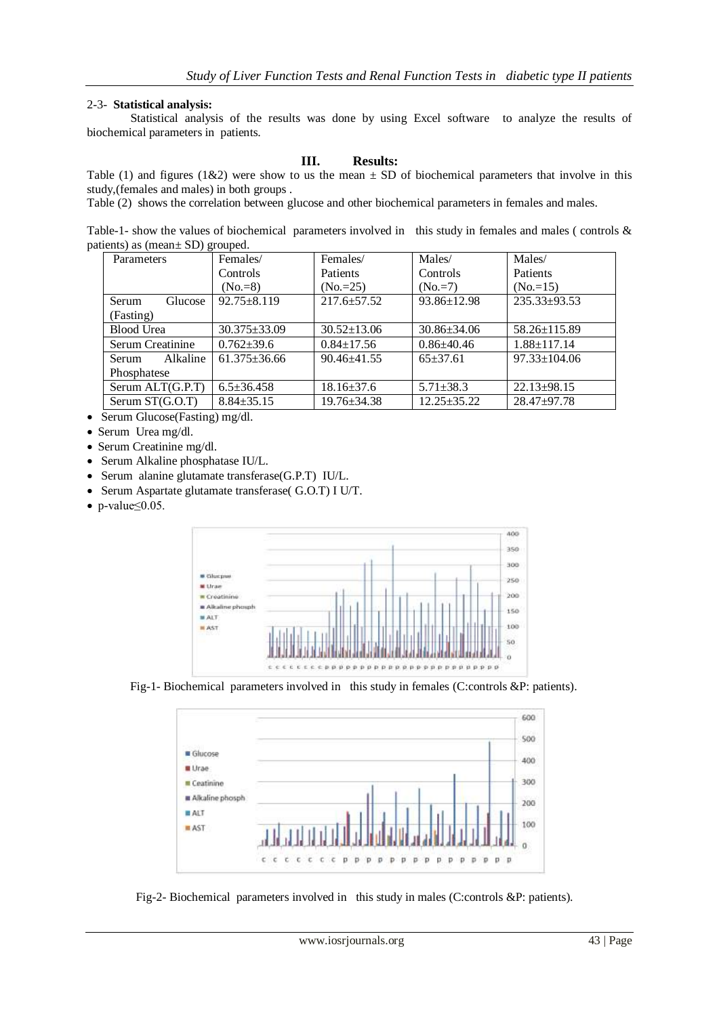### 2-3- **Statistical analysis:**

Statistical analysis of the results was done by using Excel software to analyze the results of biochemical parameters in patients.

#### **III. Results:**

Table (1) and figures (1&2) were show to us the mean  $\pm$  SD of biochemical parameters that involve in this study,(females and males) in both groups .

Table (2) shows the correlation between glucose and other biochemical parameters in females and males.

Table-1- show the values of biochemical parameters involved in this study in females and males ( controls & patients) as (mean± SD) grouped.

| - <i>, .</i> - - - - - - - |                    |                   |                   |                    |  |
|----------------------------|--------------------|-------------------|-------------------|--------------------|--|
| Parameters                 | Females/           | Females/          | Males/            | Males/             |  |
|                            | <b>Controls</b>    | <b>Patients</b>   | Controls          | <b>Patients</b>    |  |
|                            | $(No.=8)$          | $(No.=25)$        | $(No.=7)$         | $(No=15)$          |  |
| Serum<br>Glucose           | $92.75 \pm 8.119$  | $217.6 \pm 57.52$ | $93.86 \pm 12.98$ | $235.33 \pm 93.53$ |  |
| (Fasting)                  |                    |                   |                   |                    |  |
| <b>Blood Urea</b>          | $30.375 \pm 33.09$ | $30.52 \pm 13.06$ | $30.86 \pm 34.06$ | $58.26 \pm 115.89$ |  |
| Serum Creatinine           | $0.762 \pm 39.6$   | $0.84 \pm 17.56$  | $0.86{\pm}40.46$  | $1.88 \pm 117.14$  |  |
| Alkaline<br>Serum          | $61.375 \pm 36.66$ | $90.46 + 41.55$   | $65+37.61$        | $97.33 \pm 104.06$ |  |
| Phosphatese                |                    |                   |                   |                    |  |
| Serum ALT(G.P.T)           | $6.5 + 36.458$     | $18.16 \pm 37.6$  | $5.71 \pm 38.3$   | $22.13 \pm 98.15$  |  |
| Serum $ST(G.O.T)$          | $8.84 \pm 35.15$   | $19.76 \pm 34.38$ | $12.25 + 35.22$   | $28.47 + 97.78$    |  |

- Serum Glucose(Fasting) mg/dl.
- Serum Urea mg/dl.
- Serum Creatinine mg/dl.
- Serum Alkaline phosphatase IU/L.
- Serum alanine glutamate transferase(G.P.T) IU/L.
- Serum Aspartate glutamate transferase( G.O.T) I U/T.
- p-value≤0.05.



Fig-1- Biochemical parameters involved in this study in females (C:controls &P: patients).